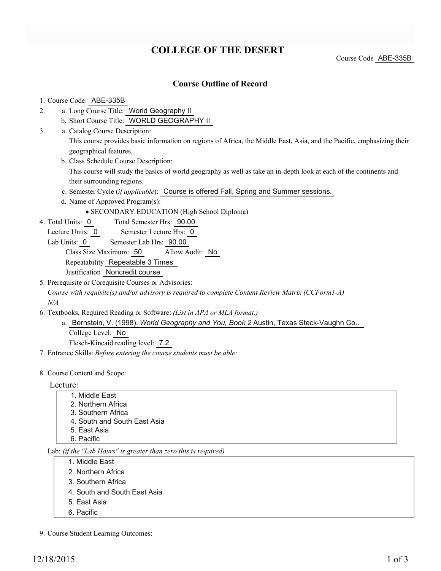# **COLLEGE OF THE DESERT**

Course Code ABE-335B

### **Course Outline of Record**

#### 1. Course Code: ABE-335B

- a. Long Course Title: World Geography II 2.
	- b. Short Course Title: WORLD GEOGRAPHY II
- Catalog Course Description: a. 3.

This course provides basic information on regions of Africa, the Middle East, Asia, and the Pacific, emphasizing their geographical features.

b. Class Schedule Course Description:

This course will study the basics of world geography as well as take an in-depth look at each of the continents and their surrounding regions.

- c. Semester Cycle (*if applicable*): Course is offered Fall, Spring and Summer sessions.
- d. Name of Approved Program(s):
	- SECONDARY EDUCATION (High School Diploma)
- Total Semester Hrs: 90.00 4. Total Units: 0
	- Lecture Units: 0 Semester Lecture Hrs: 0
	- Lab Units: 0 Semester Lab Hrs: 90.00

Class Size Maximum: 50 Allow Audit: No Repeatability Repeatable 3 Times

Justification Noncredit course

5. Prerequisite or Corequisite Courses or Advisories: *Course with requisite(s) and/or advisory is required to complete Content Review Matrix (CCForm1-A) N/A*

- Textbooks, Required Reading or Software: *(List in APA or MLA format.)* 6.
	- a. Bernstein, V. (1998). *World Geography and You, Book 2* Austin, Texas Steck-Vaughn Co.. College Level: No

Flesch-Kincaid reading level: 7.2

7. Entrance Skills: *Before entering the course students must be able:*

#### 8. Course Content and Scope:

#### Lecture:

- 1. Middle East
- 2. Northern Africa
- 3. Southern Africa
- 4. South and South East Asia
- 5. East Asia
- 6. Pacific

#### Lab: *(if the "Lab Hours" is greater than zero this is required)*

- 1. Middle East
- 2. Northern Africa
- 3. Southern Africa
- 4. South and South East Asia
- 5. East Asia
- 6. Pacific
- 9. Course Student Learning Outcomes: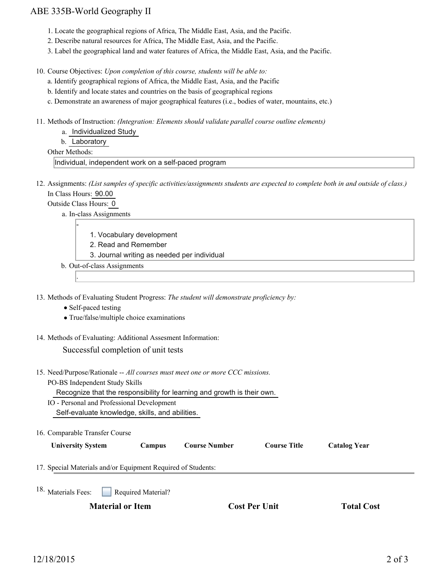### ABE 335B-World Geography II

- 1. Locate the geographical regions of Africa, The Middle East, Asia, and the Pacific.
- 2. Describe natural resources for Africa, The Middle East, Asia, and the Pacific.
- 3. Label the geographical land and water features of Africa, the Middle East, Asia, and the Pacific.

10. Course Objectives: Upon completion of this course, students will be able to:

- a. Identify geographical regions of Africa, the Middle East, Asia, and the Pacific
- b. Identify and locate states and countries on the basis of geographical regions
- c. Demonstrate an awareness of major geographical features (i.e., bodies of water, mountains, etc.)

11. Methods of Instruction: *(Integration: Elements should validate parallel course outline elements)* 

a. Individualized Study

b. Laboratory

Other Methods:

Individual, independent work on a self-paced program

12. Assignments: (List samples of specific activities/assignments students are expected to complete both in and outside of class.) In Class Hours: 90.00

Outside Class Hours: 0

-

.

a. In-class Assignments

- 1. Vocabulary development
- 2. Read and Remember
- 3. Journal writing as needed per individual
- b. Out-of-class Assignments
- 13. Methods of Evaluating Student Progress: The student will demonstrate proficiency by:
	- Self-paced testing
	- True/false/multiple choice examinations
- 14. Methods of Evaluating: Additional Assesment Information:

Successful completion of unit tests

15. Need/Purpose/Rationale -- All courses must meet one or more CCC missions.

PO-BS Independent Study Skills

Recognize that the responsibility for learning and growth is their own.

- IO Personal and Professional Development Self-evaluate knowledge, skills, and abilities.
- 16. Comparable Transfer Course

| Iniversity System |  |
|-------------------|--|
|-------------------|--|

**University System Campus Course Number Course Title Catalog Year**

17. Special Materials and/or Equipment Required of Students:

Required Material? 18. Materials Fees:

**Material or Item Cost Per Unit Total Cost Cost Per Unit Total Cost**